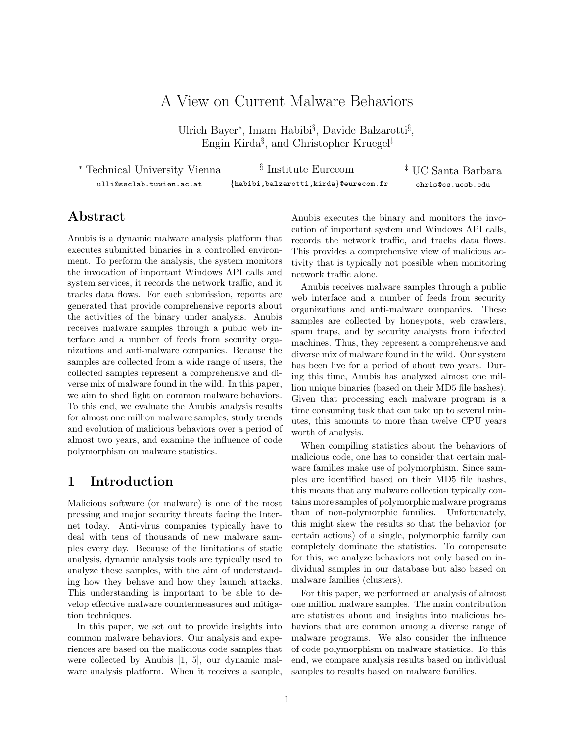# A View on Current Malware Behaviors

Ulrich Bayer<sup>∗</sup> , Imam Habibi§ , Davide Balzarotti§ , Engin Kirda§ , and Christopher Kruegel‡

| * Technical University Vienna | <sup>§</sup> Institute Eurecom       | <sup>‡</sup> UC Santa Barbara |
|-------------------------------|--------------------------------------|-------------------------------|
| ulli@seclab.tuwien.ac.at      | {habibi,balzarotti,kirda}@eurecom.fr | chris@cs.ucsb.edu             |

### Abstract

Anubis is a dynamic malware analysis platform that executes submitted binaries in a controlled environment. To perform the analysis, the system monitors the invocation of important Windows API calls and system services, it records the network traffic, and it tracks data flows. For each submission, reports are generated that provide comprehensive reports about the activities of the binary under analysis. Anubis receives malware samples through a public web interface and a number of feeds from security organizations and anti-malware companies. Because the samples are collected from a wide range of users, the collected samples represent a comprehensive and diverse mix of malware found in the wild. In this paper, we aim to shed light on common malware behaviors. To this end, we evaluate the Anubis analysis results for almost one million malware samples, study trends and evolution of malicious behaviors over a period of almost two years, and examine the influence of code polymorphism on malware statistics.

# 1 Introduction

Malicious software (or malware) is one of the most pressing and major security threats facing the Internet today. Anti-virus companies typically have to deal with tens of thousands of new malware samples every day. Because of the limitations of static analysis, dynamic analysis tools are typically used to analyze these samples, with the aim of understanding how they behave and how they launch attacks. This understanding is important to be able to develop effective malware countermeasures and mitigation techniques.

In this paper, we set out to provide insights into common malware behaviors. Our analysis and experiences are based on the malicious code samples that were collected by Anubis [1, 5], our dynamic malware analysis platform. When it receives a sample,

Anubis executes the binary and monitors the invocation of important system and Windows API calls, records the network traffic, and tracks data flows. This provides a comprehensive view of malicious activity that is typically not possible when monitoring network traffic alone.

Anubis receives malware samples through a public web interface and a number of feeds from security organizations and anti-malware companies. These samples are collected by honeypots, web crawlers, spam traps, and by security analysts from infected machines. Thus, they represent a comprehensive and diverse mix of malware found in the wild. Our system has been live for a period of about two years. During this time, Anubis has analyzed almost one million unique binaries (based on their MD5 file hashes). Given that processing each malware program is a time consuming task that can take up to several minutes, this amounts to more than twelve CPU years worth of analysis.

When compiling statistics about the behaviors of malicious code, one has to consider that certain malware families make use of polymorphism. Since samples are identified based on their MD5 file hashes, this means that any malware collection typically contains more samples of polymorphic malware programs than of non-polymorphic families. Unfortunately, this might skew the results so that the behavior (or certain actions) of a single, polymorphic family can completely dominate the statistics. To compensate for this, we analyze behaviors not only based on individual samples in our database but also based on malware families (clusters).

For this paper, we performed an analysis of almost one million malware samples. The main contribution are statistics about and insights into malicious behaviors that are common among a diverse range of malware programs. We also consider the influence of code polymorphism on malware statistics. To this end, we compare analysis results based on individual samples to results based on malware families.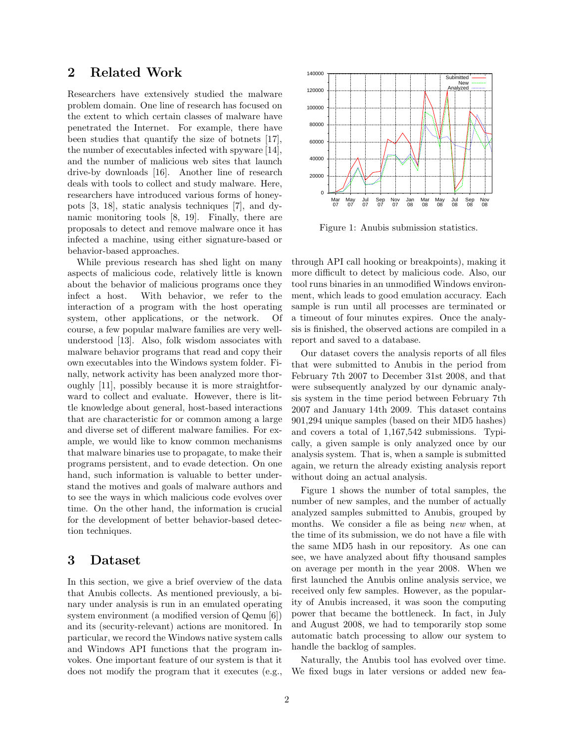### 2 Related Work

Researchers have extensively studied the malware problem domain. One line of research has focused on the extent to which certain classes of malware have penetrated the Internet. For example, there have been studies that quantify the size of botnets [17], the number of executables infected with spyware [14], and the number of malicious web sites that launch drive-by downloads [16]. Another line of research deals with tools to collect and study malware. Here, researchers have introduced various forms of honeypots [3, 18], static analysis techniques [7], and dynamic monitoring tools [8, 19]. Finally, there are proposals to detect and remove malware once it has infected a machine, using either signature-based or behavior-based approaches.

While previous research has shed light on many aspects of malicious code, relatively little is known about the behavior of malicious programs once they infect a host. With behavior, we refer to the interaction of a program with the host operating system, other applications, or the network. Of course, a few popular malware families are very wellunderstood [13]. Also, folk wisdom associates with malware behavior programs that read and copy their own executables into the Windows system folder. Finally, network activity has been analyzed more thoroughly [11], possibly because it is more straightforward to collect and evaluate. However, there is little knowledge about general, host-based interactions that are characteristic for or common among a large and diverse set of different malware families. For example, we would like to know common mechanisms that malware binaries use to propagate, to make their programs persistent, and to evade detection. On one hand, such information is valuable to better understand the motives and goals of malware authors and to see the ways in which malicious code evolves over time. On the other hand, the information is crucial for the development of better behavior-based detection techniques.

### 3 Dataset

In this section, we give a brief overview of the data that Anubis collects. As mentioned previously, a binary under analysis is run in an emulated operating system environment (a modified version of Qemu [6]) and its (security-relevant) actions are monitored. In particular, we record the Windows native system calls and Windows API functions that the program invokes. One important feature of our system is that it does not modify the program that it executes (e.g.,



Figure 1: Anubis submission statistics.

through API call hooking or breakpoints), making it more difficult to detect by malicious code. Also, our tool runs binaries in an unmodified Windows environment, which leads to good emulation accuracy. Each sample is run until all processes are terminated or a timeout of four minutes expires. Once the analysis is finished, the observed actions are compiled in a report and saved to a database.

Our dataset covers the analysis reports of all files that were submitted to Anubis in the period from February 7th 2007 to December 31st 2008, and that were subsequently analyzed by our dynamic analysis system in the time period between February 7th 2007 and January 14th 2009. This dataset contains 901,294 unique samples (based on their MD5 hashes) and covers a total of 1,167,542 submissions. Typically, a given sample is only analyzed once by our analysis system. That is, when a sample is submitted again, we return the already existing analysis report without doing an actual analysis.

Figure 1 shows the number of total samples, the number of new samples, and the number of actually analyzed samples submitted to Anubis, grouped by months. We consider a file as being new when, at the time of its submission, we do not have a file with the same MD5 hash in our repository. As one can see, we have analyzed about fifty thousand samples on average per month in the year 2008. When we first launched the Anubis online analysis service, we received only few samples. However, as the popularity of Anubis increased, it was soon the computing power that became the bottleneck. In fact, in July and August 2008, we had to temporarily stop some automatic batch processing to allow our system to handle the backlog of samples.

Naturally, the Anubis tool has evolved over time. We fixed bugs in later versions or added new fea-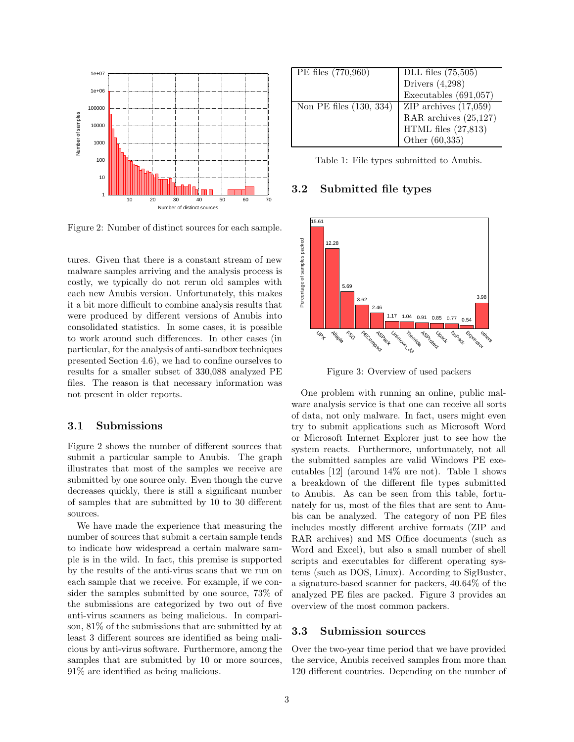

Figure 2: Number of distinct sources for each sample.

tures. Given that there is a constant stream of new malware samples arriving and the analysis process is costly, we typically do not rerun old samples with each new Anubis version. Unfortunately, this makes it a bit more difficult to combine analysis results that were produced by different versions of Anubis into consolidated statistics. In some cases, it is possible to work around such differences. In other cases (in particular, for the analysis of anti-sandbox techniques presented Section 4.6), we had to confine ourselves to results for a smaller subset of 330,088 analyzed PE files. The reason is that necessary information was not present in older reports.

#### 3.1 Submissions

Figure 2 shows the number of different sources that submit a particular sample to Anubis. The graph illustrates that most of the samples we receive are submitted by one source only. Even though the curve decreases quickly, there is still a significant number of samples that are submitted by 10 to 30 different sources.

We have made the experience that measuring the number of sources that submit a certain sample tends to indicate how widespread a certain malware sample is in the wild. In fact, this premise is supported by the results of the anti-virus scans that we run on each sample that we receive. For example, if we consider the samples submitted by one source, 73% of the submissions are categorized by two out of five anti-virus scanners as being malicious. In comparison, 81% of the submissions that are submitted by at least 3 different sources are identified as being malicious by anti-virus software. Furthermore, among the samples that are submitted by 10 or more sources, 91% are identified as being malicious.

| PE files (770,960)      | DLL files $(75,505)$                               |
|-------------------------|----------------------------------------------------|
|                         | Drivers $(4,298)$                                  |
|                         | Executables $(691,057)$                            |
| Non PE files (130, 334) |                                                    |
|                         | ZIP archives $(17,059)$<br>RAR archives $(25,127)$ |
|                         | HTML files $(27,813)$                              |
|                         | Other (60,335)                                     |

Table 1: File types submitted to Anubis.

#### 3.2 Submitted file types



Figure 3: Overview of used packers

One problem with running an online, public malware analysis service is that one can receive all sorts of data, not only malware. In fact, users might even try to submit applications such as Microsoft Word or Microsoft Internet Explorer just to see how the system reacts. Furthermore, unfortunately, not all the submitted samples are valid Windows PE executables [12] (around 14% are not). Table 1 shows a breakdown of the different file types submitted to Anubis. As can be seen from this table, fortunately for us, most of the files that are sent to Anubis can be analyzed. The category of non PE files includes mostly different archive formats (ZIP and RAR archives) and MS Office documents (such as Word and Excel), but also a small number of shell scripts and executables for different operating systems (such as DOS, Linux). According to SigBuster, a signature-based scanner for packers, 40.64% of the analyzed PE files are packed. Figure 3 provides an overview of the most common packers.

#### 3.3 Submission sources

Over the two-year time period that we have provided the service, Anubis received samples from more than 120 different countries. Depending on the number of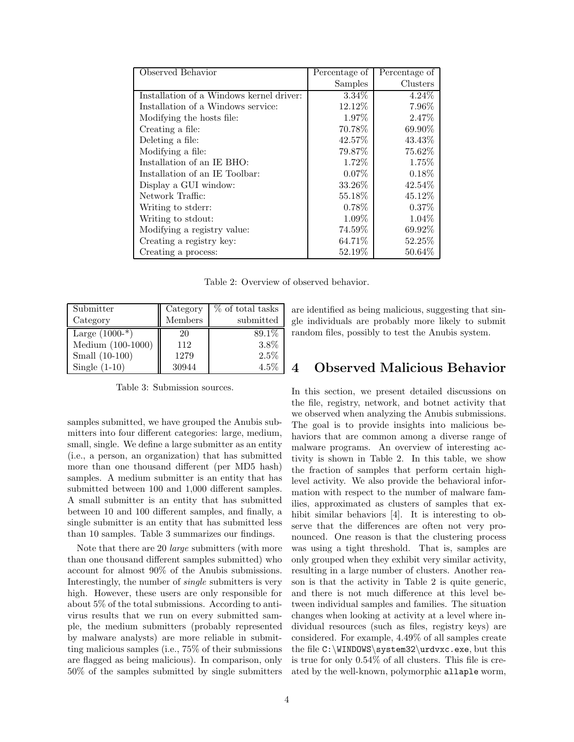| Observed Behavior                        | Percentage of | Percentage of |
|------------------------------------------|---------------|---------------|
|                                          | Samples       | Clusters      |
| Installation of a Windows kernel driver: | $3.34\%$      | $4.24\%$      |
| Installation of a Windows service:       | 12.12\%       | 7.96%         |
| Modifying the hosts file:                | 1.97%         | 2.47\%        |
| Creating a file:                         | 70.78%        | 69.90%        |
| Deleting a file:                         | 42.57%        | 43.43\%       |
| Modifying a file:                        | 79.87%        | 75.62%        |
| Installation of an IE BHO:               | 1.72\%        | 1.75%         |
| Installation of an IE Toolbar:           | $0.07\%$      | $0.18\%$      |
| Display a GUI window:                    | 33.26\%       | 42.54%        |
| Network Traffic:                         | 55.18%        | 45.12%        |
| Writing to stderr:                       | $0.78\%$      | $0.37\%$      |
| Writing to stdout:                       | 1.09%         | 1.04%         |
| Modifying a registry value:              | 74.59%        | 69.92%        |
| Creating a registry key:                 | 64.71%        | 52.25%        |
| Creating a process:                      | 52.19%        | 50.64%        |

Table 2: Overview of observed behavior.

| Submitter           | Category | % of total tasks |
|---------------------|----------|------------------|
| Category            | Members  | submitted        |
| Large $(1000^{-*})$ | 20       | 89.1\%           |
| Medium (100-1000)   | 112      | 3.8%             |
| Small (10-100)      | 1279     | 2.5%             |
| Single $(1-10)$     | 30944    | $4.5\%$          |

Table 3: Submission sources.

samples submitted, we have grouped the Anubis submitters into four different categories: large, medium, small, single. We define a large submitter as an entity (i.e., a person, an organization) that has submitted more than one thousand different (per MD5 hash) samples. A medium submitter is an entity that has submitted between 100 and 1,000 different samples. A small submitter is an entity that has submitted between 10 and 100 different samples, and finally, a single submitter is an entity that has submitted less than 10 samples. Table 3 summarizes our findings.

Note that there are 20 *large* submitters (with more than one thousand different samples submitted) who account for almost 90% of the Anubis submissions. Interestingly, the number of single submitters is very high. However, these users are only responsible for about 5% of the total submissions. According to antivirus results that we run on every submitted sample, the medium submitters (probably represented by malware analysts) are more reliable in submitting malicious samples (i.e., 75% of their submissions are flagged as being malicious). In comparison, only 50% of the samples submitted by single submitters are identified as being malicious, suggesting that single individuals are probably more likely to submit random files, possibly to test the Anubis system.

### 4 Observed Malicious Behavior

In this section, we present detailed discussions on the file, registry, network, and botnet activity that we observed when analyzing the Anubis submissions. The goal is to provide insights into malicious behaviors that are common among a diverse range of malware programs. An overview of interesting activity is shown in Table 2. In this table, we show the fraction of samples that perform certain highlevel activity. We also provide the behavioral information with respect to the number of malware families, approximated as clusters of samples that exhibit similar behaviors [4]. It is interesting to observe that the differences are often not very pronounced. One reason is that the clustering process was using a tight threshold. That is, samples are only grouped when they exhibit very similar activity, resulting in a large number of clusters. Another reason is that the activity in Table 2 is quite generic, and there is not much difference at this level between individual samples and families. The situation changes when looking at activity at a level where individual resources (such as files, registry keys) are considered. For example, 4.49% of all samples create the file C:\WINDOWS\system32\urdvxc.exe, but this is true for only 0.54% of all clusters. This file is created by the well-known, polymorphic allaple worm,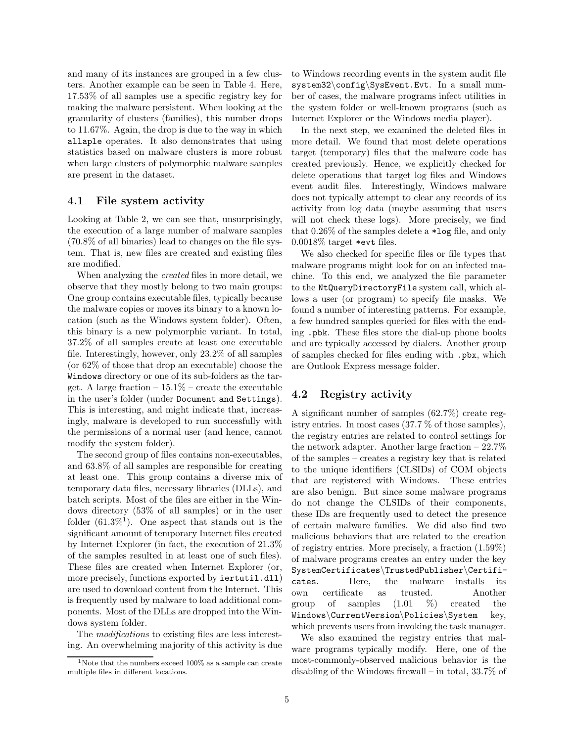and many of its instances are grouped in a few clusters. Another example can be seen in Table 4. Here, 17.53% of all samples use a specific registry key for making the malware persistent. When looking at the granularity of clusters (families), this number drops to 11.67%. Again, the drop is due to the way in which allaple operates. It also demonstrates that using statistics based on malware clusters is more robust when large clusters of polymorphic malware samples are present in the dataset.

#### 4.1 File system activity

Looking at Table 2, we can see that, unsurprisingly, the execution of a large number of malware samples (70.8% of all binaries) lead to changes on the file system. That is, new files are created and existing files are modified.

When analyzing the created files in more detail, we observe that they mostly belong to two main groups: One group contains executable files, typically because the malware copies or moves its binary to a known location (such as the Windows system folder). Often, this binary is a new polymorphic variant. In total, 37.2% of all samples create at least one executable file. Interestingly, however, only 23.2% of all samples (or 62% of those that drop an executable) choose the Windows directory or one of its sub-folders as the target. A large fraction  $-15.1\%$  – create the executable in the user's folder (under Document and Settings). This is interesting, and might indicate that, increasingly, malware is developed to run successfully with the permissions of a normal user (and hence, cannot modify the system folder).

The second group of files contains non-executables, and 63.8% of all samples are responsible for creating at least one. This group contains a diverse mix of temporary data files, necessary libraries (DLLs), and batch scripts. Most of the files are either in the Windows directory (53% of all samples) or in the user folder  $(61.3\%)^1$ . One aspect that stands out is the significant amount of temporary Internet files created by Internet Explorer (in fact, the execution of 21.3% of the samples resulted in at least one of such files). These files are created when Internet Explorer (or, more precisely, functions exported by  $\text{intutil}.dll)$ are used to download content from the Internet. This is frequently used by malware to load additional components. Most of the DLLs are dropped into the Windows system folder.

The modifications to existing files are less interesting. An overwhelming majority of this activity is due to Windows recording events in the system audit file system32\config\SysEvent.Evt. In a small number of cases, the malware programs infect utilities in the system folder or well-known programs (such as Internet Explorer or the Windows media player).

In the next step, we examined the deleted files in more detail. We found that most delete operations target (temporary) files that the malware code has created previously. Hence, we explicitly checked for delete operations that target log files and Windows event audit files. Interestingly, Windows malware does not typically attempt to clear any records of its activity from log data (maybe assuming that users will not check these logs). More precisely, we find that 0.26% of the samples delete a \*log file, and only 0.0018% target \*evt files.

We also checked for specific files or file types that malware programs might look for on an infected machine. To this end, we analyzed the file parameter to the NtQueryDirectoryFile system call, which allows a user (or program) to specify file masks. We found a number of interesting patterns. For example, a few hundred samples queried for files with the ending .pbk. These files store the dial-up phone books and are typically accessed by dialers. Another group of samples checked for files ending with .pbx, which are Outlook Express message folder.

### 4.2 Registry activity

A significant number of samples (62.7%) create registry entries. In most cases (37.7 % of those samples), the registry entries are related to control settings for the network adapter. Another large fraction – 22.7% of the samples – creates a registry key that is related to the unique identifiers (CLSIDs) of COM objects that are registered with Windows. These entries are also benign. But since some malware programs do not change the CLSIDs of their components, these IDs are frequently used to detect the presence of certain malware families. We did also find two malicious behaviors that are related to the creation of registry entries. More precisely, a fraction (1.59%) of malware programs creates an entry under the key SystemCertificates\TrustedPublisher\Certificates. Here, the malware installs its own certificate as trusted. Another group of samples  $(1.01 \%)$  created the Windows\CurrentVersion\Policies\System key, which prevents users from invoking the task manager.

We also examined the registry entries that malware programs typically modify. Here, one of the most-commonly-observed malicious behavior is the disabling of the Windows firewall – in total, 33.7% of

<sup>&</sup>lt;sup>1</sup>Note that the numbers exceed  $100\%$  as a sample can create multiple files in different locations.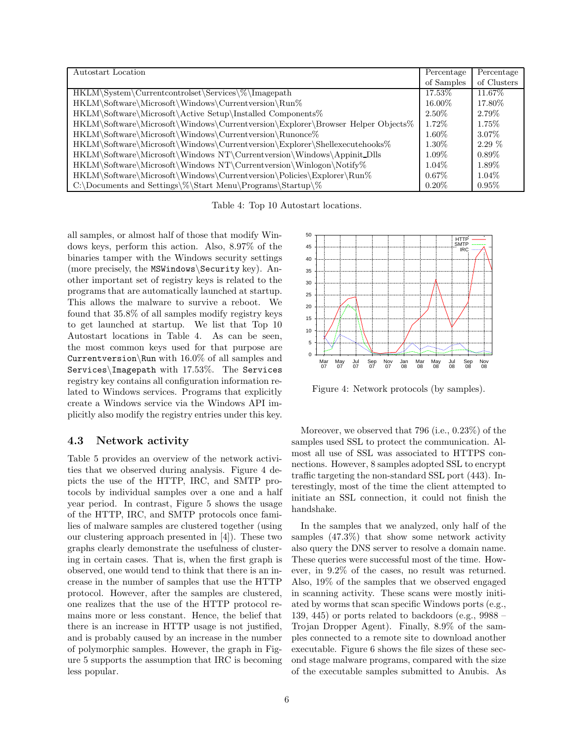| Autostart Location                                                              | Percentage | Percentage  |
|---------------------------------------------------------------------------------|------------|-------------|
|                                                                                 | of Samples | of Clusters |
| HKLM\System\Currentcontrolset\Services\%\Imagepath                              | 17.53%     | 11.67%      |
| HKLM\Software\Microsoft\Windows\Currentversion\Run%                             | 16.00%     | 17.80\%     |
| HKLM\Software\Microsoft\Active Setup\Installed Components%                      | $2.50\%$   | 2.79%       |
| HKLM\Software\Microsoft\Windows\Currentversion\Explorer\Browser Helper Objects% | $1.72\%$   | $1.75\%$    |
| HKLM\Software\Microsoft\Windows\Currentversion\Runonce%                         | $1.60\%$   | 3.07%       |
| HKLM\Software\Microsoft\Windows\Currentversion\Explorer\Shellexecutehooks\%     | $1.30\%$   | $2.29\%$    |
| HKLM\Software\Microsoft\Windows NT\Currentversion\Windows\Appinit_Dlls          | $1.09\%$   | $0.89\%$    |
| HKLM\Software\Microsoft\Windows NT\Currentversion\Winlogon\Notify\%             | $1.04\%$   | $1.89\%$    |
| HKLM\Software\Microsoft\Windows\Currentversion\Policies\Explorer\Run%           | $0.67\%$   | $1.04\%$    |
| C:\Documents and Settings\%\Start Menu\Programs\Startup\%                       | $0.20\%$   | $0.95\%$    |

Table 4: Top 10 Autostart locations.

all samples, or almost half of those that modify Windows keys, perform this action. Also, 8.97% of the binaries tamper with the Windows security settings (more precisely, the MSWindows\Security key). Another important set of registry keys is related to the programs that are automatically launched at startup. This allows the malware to survive a reboot. We found that 35.8% of all samples modify registry keys to get launched at startup. We list that Top 10 Autostart locations in Table 4. As can be seen, the most common keys used for that purpose are Currentversion\Run with 16.0% of all samples and Services\Imagepath with 17.53%. The Services registry key contains all configuration information related to Windows services. Programs that explicitly create a Windows service via the Windows API implicitly also modify the registry entries under this key.

#### 4.3 Network activity

Table 5 provides an overview of the network activities that we observed during analysis. Figure 4 depicts the use of the HTTP, IRC, and SMTP protocols by individual samples over a one and a half year period. In contrast, Figure 5 shows the usage of the HTTP, IRC, and SMTP protocols once families of malware samples are clustered together (using our clustering approach presented in [4]). These two graphs clearly demonstrate the usefulness of clustering in certain cases. That is, when the first graph is observed, one would tend to think that there is an increase in the number of samples that use the HTTP protocol. However, after the samples are clustered, one realizes that the use of the HTTP protocol remains more or less constant. Hence, the belief that there is an increase in HTTP usage is not justified, and is probably caused by an increase in the number of polymorphic samples. However, the graph in Figure 5 supports the assumption that IRC is becoming less popular.



Figure 4: Network protocols (by samples).

Moreover, we observed that 796 (i.e., 0.23%) of the samples used SSL to protect the communication. Almost all use of SSL was associated to HTTPS connections. However, 8 samples adopted SSL to encrypt traffic targeting the non-standard SSL port (443). Interestingly, most of the time the client attempted to initiate an SSL connection, it could not finish the handshake.

In the samples that we analyzed, only half of the samples (47.3%) that show some network activity also query the DNS server to resolve a domain name. These queries were successful most of the time. However, in 9.2% of the cases, no result was returned. Also, 19% of the samples that we observed engaged in scanning activity. These scans were mostly initiated by worms that scan specific Windows ports (e.g., 139, 445) or ports related to backdoors (e.g.,  $9988 -$ Trojan Dropper Agent). Finally, 8.9% of the samples connected to a remote site to download another executable. Figure 6 shows the file sizes of these second stage malware programs, compared with the size of the executable samples submitted to Anubis. As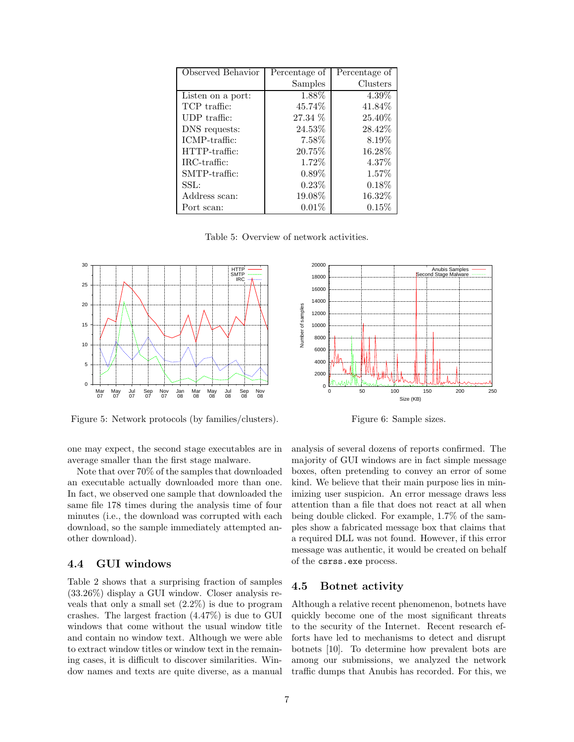| Observed Behavior | Percentage of | Percentage of |
|-------------------|---------------|---------------|
|                   | Samples       | Clusters      |
| Listen on a port: | 1.88%         | 4.39%         |
| TCP traffic:      | 45.74%        | 41.84%        |
| UDP traffic:      | 27.34 %       | 25.40%        |
| DNS requests:     | 24.53\%       | 28.42%        |
| ICMP-traffic:     | $7.58\%$      | 8.19\%        |
| HTTP-traffic:     | 20.75\%       | 16.28%        |
| IRC-traffic:      | 1.72%         | 4.37\%        |
| $SMTP-traffic:$   | $0.89\%$      | 1.57%         |
| SSL:              | 0.23%         | 0.18%         |
| Address scan:     | 19.08%        | 16.32%        |
| Port scan:        | $0.01\%$      | $0.15\%$      |

Table 5: Overview of network activities.



Figure 5: Network protocols (by families/clusters).



Figure 6: Sample sizes.

one may expect, the second stage executables are in average smaller than the first stage malware.

Note that over 70% of the samples that downloaded an executable actually downloaded more than one. In fact, we observed one sample that downloaded the same file 178 times during the analysis time of four minutes (i.e., the download was corrupted with each download, so the sample immediately attempted another download).

#### 4.4 GUI windows

Table 2 shows that a surprising fraction of samples (33.26%) display a GUI window. Closer analysis reveals that only a small set (2.2%) is due to program crashes. The largest fraction (4.47%) is due to GUI windows that come without the usual window title and contain no window text. Although we were able to extract window titles or window text in the remaining cases, it is difficult to discover similarities. Window names and texts are quite diverse, as a manual analysis of several dozens of reports confirmed. The majority of GUI windows are in fact simple message boxes, often pretending to convey an error of some kind. We believe that their main purpose lies in minimizing user suspicion. An error message draws less attention than a file that does not react at all when being double clicked. For example, 1.7% of the samples show a fabricated message box that claims that a required DLL was not found. However, if this error message was authentic, it would be created on behalf of the csrss.exe process.

#### 4.5 Botnet activity

Although a relative recent phenomenon, botnets have quickly become one of the most significant threats to the security of the Internet. Recent research efforts have led to mechanisms to detect and disrupt botnets [10]. To determine how prevalent bots are among our submissions, we analyzed the network traffic dumps that Anubis has recorded. For this, we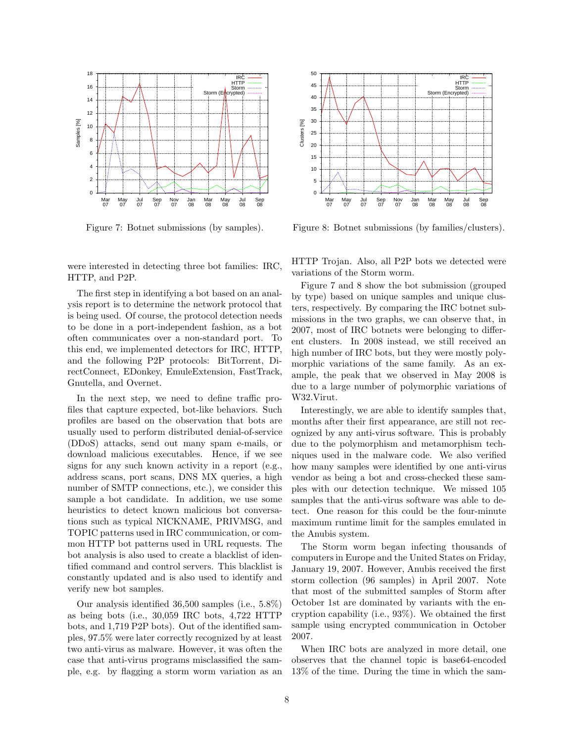

Figure 7: Botnet submissions (by samples).

were interested in detecting three bot families: IRC, HTTP, and P2P.

The first step in identifying a bot based on an analysis report is to determine the network protocol that is being used. Of course, the protocol detection needs to be done in a port-independent fashion, as a bot often communicates over a non-standard port. To this end, we implemented detectors for IRC, HTTP, and the following P2P protocols: BitTorrent, DirectConnect, EDonkey, EmuleExtension, FastTrack, Gnutella, and Overnet.

In the next step, we need to define traffic profiles that capture expected, bot-like behaviors. Such profiles are based on the observation that bots are usually used to perform distributed denial-of-service (DDoS) attacks, send out many spam e-mails, or download malicious executables. Hence, if we see signs for any such known activity in a report (e.g., address scans, port scans, DNS MX queries, a high number of SMTP connections, etc.), we consider this sample a bot candidate. In addition, we use some heuristics to detect known malicious bot conversations such as typical NICKNAME, PRIVMSG, and TOPIC patterns used in IRC communication, or common HTTP bot patterns used in URL requests. The bot analysis is also used to create a blacklist of identified command and control servers. This blacklist is constantly updated and is also used to identify and verify new bot samples.

Our analysis identified 36,500 samples (i.e., 5.8%) as being bots (i.e., 30,059 IRC bots, 4,722 HTTP bots, and 1,719 P2P bots). Out of the identified samples, 97.5% were later correctly recognized by at least two anti-virus as malware. However, it was often the case that anti-virus programs misclassified the sample, e.g. by flagging a storm worm variation as an



Figure 8: Botnet submissions (by families/clusters).

HTTP Trojan. Also, all P2P bots we detected were variations of the Storm worm.

Figure 7 and 8 show the bot submission (grouped by type) based on unique samples and unique clusters, respectively. By comparing the IRC botnet submissions in the two graphs, we can observe that, in 2007, most of IRC botnets were belonging to different clusters. In 2008 instead, we still received an high number of IRC bots, but they were mostly polymorphic variations of the same family. As an example, the peak that we observed in May 2008 is due to a large number of polymorphic variations of W32.Virut.

Interestingly, we are able to identify samples that, months after their first appearance, are still not recognized by any anti-virus software. This is probably due to the polymorphism and metamorphism techniques used in the malware code. We also verified how many samples were identified by one anti-virus vendor as being a bot and cross-checked these samples with our detection technique. We missed 105 samples that the anti-virus software was able to detect. One reason for this could be the four-minute maximum runtime limit for the samples emulated in the Anubis system.

The Storm worm began infecting thousands of computers in Europe and the United States on Friday, January 19, 2007. However, Anubis received the first storm collection (96 samples) in April 2007. Note that most of the submitted samples of Storm after October 1st are dominated by variants with the encryption capability (i.e., 93%). We obtained the first sample using encrypted communication in October 2007.

When IRC bots are analyzed in more detail, one observes that the channel topic is base64-encoded 13% of the time. During the time in which the sam-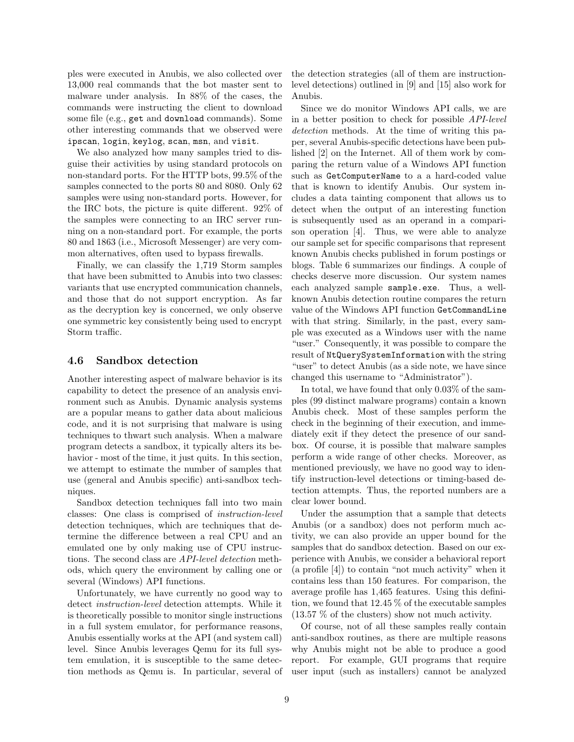ples were executed in Anubis, we also collected over 13,000 real commands that the bot master sent to malware under analysis. In 88% of the cases, the commands were instructing the client to download some file (e.g., get and download commands). Some other interesting commands that we observed were ipscan, login, keylog, scan, msn, and visit.

We also analyzed how many samples tried to disguise their activities by using standard protocols on non-standard ports. For the HTTP bots, 99.5% of the samples connected to the ports 80 and 8080. Only 62 samples were using non-standard ports. However, for the IRC bots, the picture is quite different. 92% of the samples were connecting to an IRC server running on a non-standard port. For example, the ports 80 and 1863 (i.e., Microsoft Messenger) are very common alternatives, often used to bypass firewalls.

Finally, we can classify the 1,719 Storm samples that have been submitted to Anubis into two classes: variants that use encrypted communication channels, and those that do not support encryption. As far as the decryption key is concerned, we only observe one symmetric key consistently being used to encrypt Storm traffic.

#### 4.6 Sandbox detection

Another interesting aspect of malware behavior is its capability to detect the presence of an analysis environment such as Anubis. Dynamic analysis systems are a popular means to gather data about malicious code, and it is not surprising that malware is using techniques to thwart such analysis. When a malware program detects a sandbox, it typically alters its behavior - most of the time, it just quits. In this section, we attempt to estimate the number of samples that use (general and Anubis specific) anti-sandbox techniques.

Sandbox detection techniques fall into two main classes: One class is comprised of instruction-level detection techniques, which are techniques that determine the difference between a real CPU and an emulated one by only making use of CPU instructions. The second class are API-level detection methods, which query the environment by calling one or several (Windows) API functions.

Unfortunately, we have currently no good way to detect instruction-level detection attempts. While it is theoretically possible to monitor single instructions in a full system emulator, for performance reasons, Anubis essentially works at the API (and system call) level. Since Anubis leverages Qemu for its full system emulation, it is susceptible to the same detection methods as Qemu is. In particular, several of

the detection strategies (all of them are instructionlevel detections) outlined in [9] and [15] also work for Anubis.

Since we do monitor Windows API calls, we are in a better position to check for possible API-level detection methods. At the time of writing this paper, several Anubis-specific detections have been published [2] on the Internet. All of them work by comparing the return value of a Windows API function such as GetComputerName to a a hard-coded value that is known to identify Anubis. Our system includes a data tainting component that allows us to detect when the output of an interesting function is subsequently used as an operand in a comparison operation [4]. Thus, we were able to analyze our sample set for specific comparisons that represent known Anubis checks published in forum postings or blogs. Table 6 summarizes our findings. A couple of checks deserve more discussion. Our system names each analyzed sample sample.exe. Thus, a wellknown Anubis detection routine compares the return value of the Windows API function GetCommandLine with that string. Similarly, in the past, every sample was executed as a Windows user with the name "user." Consequently, it was possible to compare the result of NtQuerySystemInformation with the string "user" to detect Anubis (as a side note, we have since changed this username to "Administrator").

In total, we have found that only 0.03% of the samples (99 distinct malware programs) contain a known Anubis check. Most of these samples perform the check in the beginning of their execution, and immediately exit if they detect the presence of our sandbox. Of course, it is possible that malware samples perform a wide range of other checks. Moreover, as mentioned previously, we have no good way to identify instruction-level detections or timing-based detection attempts. Thus, the reported numbers are a clear lower bound.

Under the assumption that a sample that detects Anubis (or a sandbox) does not perform much activity, we can also provide an upper bound for the samples that do sandbox detection. Based on our experience with Anubis, we consider a behavioral report (a profile [4]) to contain "not much activity" when it contains less than 150 features. For comparison, the average profile has 1,465 features. Using this definition, we found that 12.45 % of the executable samples (13.57 % of the clusters) show not much activity.

Of course, not of all these samples really contain anti-sandbox routines, as there are multiple reasons why Anubis might not be able to produce a good report. For example, GUI programs that require user input (such as installers) cannot be analyzed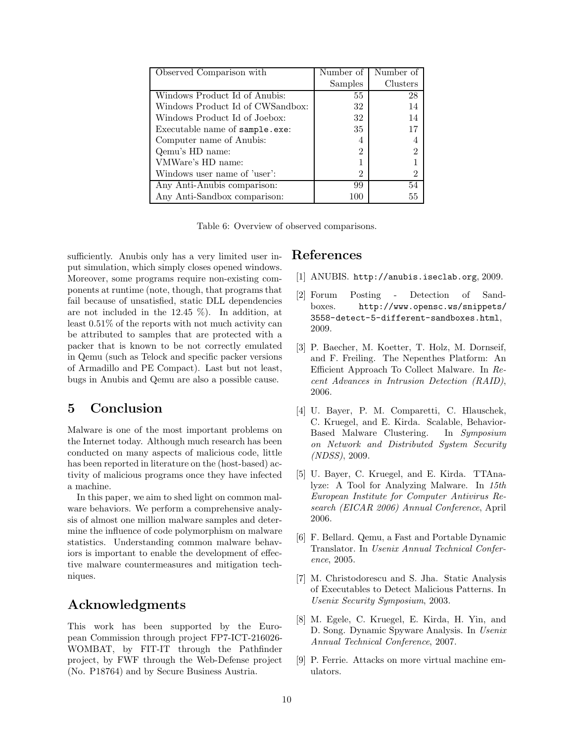| Observed Comparison with         | Number of      | Number of      |
|----------------------------------|----------------|----------------|
|                                  | <b>Samples</b> | Clusters       |
| Windows Product Id of Anubis:    | 55             | 28             |
| Windows Product Id of CWSandbox: | 32             | 14             |
| Windows Product Id of Joebox:    | 32             | 14             |
| Executable name of sample.exe:   | 35             | 17             |
| Computer name of Anubis:         | 4              |                |
| Qemu's HD name:                  | 2              | $\mathfrak{D}$ |
| VMWare's HD name:                |                |                |
| Windows user name of 'user':     | 2              | 2              |
| Any Anti-Anubis comparison:      | 99             | 54             |
| Any Anti-Sandbox comparison:     | 100            | 55             |

Table 6: Overview of observed comparisons.

sufficiently. Anubis only has a very limited user input simulation, which simply closes opened windows. Moreover, some programs require non-existing components at runtime (note, though, that programs that fail because of unsatisfied, static DLL dependencies are not included in the 12.45 %). In addition, at least 0.51% of the reports with not much activity can be attributed to samples that are protected with a packer that is known to be not correctly emulated in Qemu (such as Telock and specific packer versions of Armadillo and PE Compact). Last but not least, bugs in Anubis and Qemu are also a possible cause.

### 5 Conclusion

Malware is one of the most important problems on the Internet today. Although much research has been conducted on many aspects of malicious code, little has been reported in literature on the (host-based) activity of malicious programs once they have infected a machine.

In this paper, we aim to shed light on common malware behaviors. We perform a comprehensive analysis of almost one million malware samples and determine the influence of code polymorphism on malware statistics. Understanding common malware behaviors is important to enable the development of effective malware countermeasures and mitigation techniques.

# Acknowledgments

This work has been supported by the European Commission through project FP7-ICT-216026- WOMBAT, by FIT-IT through the Pathfinder project, by FWF through the Web-Defense project (No. P18764) and by Secure Business Austria.

### References

- [1] ANUBIS. http://anubis.iseclab.org, 2009.
- [2] Forum Posting Detection of Sandboxes. http://www.opensc.ws/snippets/ 3558-detect-5-different-sandboxes.html, 2009.
- [3] P. Baecher, M. Koetter, T. Holz, M. Dornseif, and F. Freiling. The Nepenthes Platform: An Efficient Approach To Collect Malware. In Recent Advances in Intrusion Detection (RAID), 2006.
- [4] U. Bayer, P. M. Comparetti, C. Hlauschek, C. Kruegel, and E. Kirda. Scalable, Behavior-Based Malware Clustering. In Symposium on Network and Distributed System Security (NDSS), 2009.
- [5] U. Bayer, C. Kruegel, and E. Kirda. TTAnalyze: A Tool for Analyzing Malware. In 15th European Institute for Computer Antivirus Research (EICAR 2006) Annual Conference, April 2006.
- [6] F. Bellard. Qemu, a Fast and Portable Dynamic Translator. In Usenix Annual Technical Conference, 2005.
- [7] M. Christodorescu and S. Jha. Static Analysis of Executables to Detect Malicious Patterns. In Usenix Security Symposium, 2003.
- [8] M. Egele, C. Kruegel, E. Kirda, H. Yin, and D. Song. Dynamic Spyware Analysis. In Usenix Annual Technical Conference, 2007.
- [9] P. Ferrie. Attacks on more virtual machine emulators.